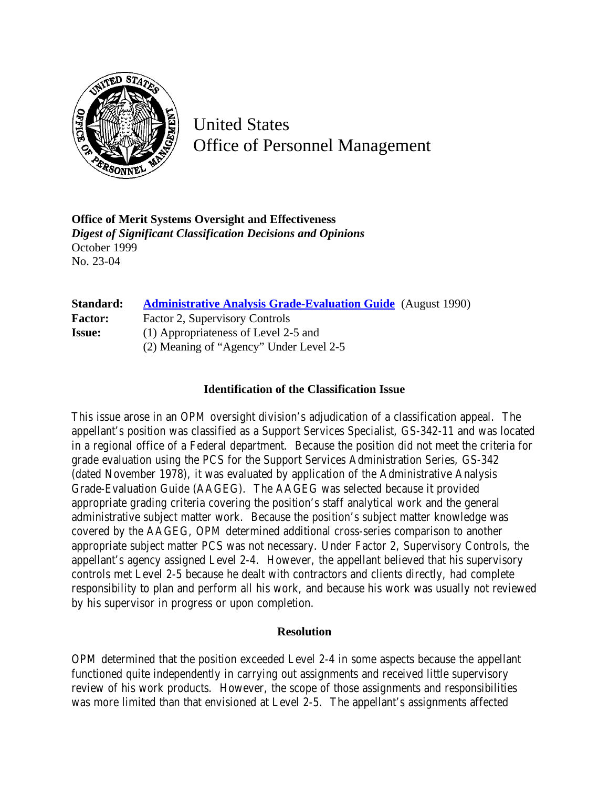

United States Office of Personnel Management

**Office of Merit Systems Oversight and Effectiveness** *Digest of Significant Classification Decisions and Opinions* October 1999 No. 23-04

| Standard:      | <b>Administrative Analysis Grade-Evaluation Guide</b> (August 1990) |
|----------------|---------------------------------------------------------------------|
| <b>Factor:</b> | Factor 2, Supervisory Controls                                      |
| <b>Issue:</b>  | (1) Appropriateness of Level 2-5 and                                |
|                | (2) Meaning of "Agency" Under Level 2-5                             |

## **Identification of the Classification Issue**

This issue arose in an OPM oversight division's adjudication of a classification appeal. The appellant's position was classified as a Support Services Specialist, GS-342-11 and was located in a regional office of a Federal department. Because the position did not meet the criteria for grade evaluation using the PCS for the Support Services Administration Series, GS-342 (dated November 1978), it was evaluated by application of the Administrative Analysis Grade-Evaluation Guide (AAGEG). The AAGEG was selected because it provided appropriate grading criteria covering the position's staff analytical work and the general administrative subject matter work. Because the position's subject matter knowledge was covered by the AAGEG, OPM determined additional cross-series comparison to another appropriate subject matter PCS was not necessary. Under Factor 2, Supervisory Controls, the appellant's agency assigned Level 2-4. However, the appellant believed that his supervisory controls met Level 2-5 because he dealt with contractors and clients directly, had complete responsibility to plan and perform all his work, and because his work was usually not reviewed by his supervisor in progress or upon completion.

## **Resolution**

OPM determined that the position exceeded Level 2-4 in some aspects because the appellant functioned quite independently in carrying out assignments and received little supervisory review of his work products. However, the scope of those assignments and responsibilities was more limited than that envisioned at Level 2-5. The appellant's assignments affected